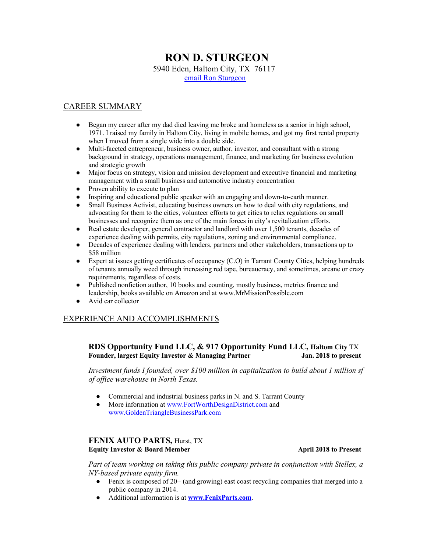# **RON D. STURGEON**

5940 Eden, Haltom City, TX 76117

email Ron Sturgeon

# CAREER SUMMARY

- Began my career after my dad died leaving me broke and homeless as a senior in high school, 1971. I raised my family in Haltom City, living in mobile homes, and got my first rental property when I moved from a single wide into a double side.
- Multi-faceted entrepreneur, business owner, author, investor, and consultant with a strong background in strategy, operations management, finance, and marketing for business evolution and strategic growth
- Major focus on strategy, vision and mission development and executive financial and marketing management with a small business and automotive industry concentration
- Proven ability to execute to plan
- Inspiring and educational public speaker with an engaging and down-to-earth manner.
- Small Business Activist, educating business owners on how to deal with city regulations, and advocating for them to the cities, volunteer efforts to get cities to relax regulations on small businesses and recognize them as one of the main forces in city's revitalization efforts.
- Real estate developer, general contractor and landlord with over 1,500 tenants, decades of experience dealing with permits, city regulations, zoning and environmental compliance.
- Decades of experience dealing with lenders, partners and other stakeholders, transactions up to \$58 million
- Expert at issues getting certificates of occupancy (C.O) in Tarrant County Cities, helping hundreds of tenants annually weed through increasing red tape, bureaucracy, and sometimes, arcane or crazy requirements, regardless of costs.
- Published nonfiction author, 10 books and counting, mostly business, metrics finance and leadership, books available on Amazon and at www.MrMissionPossible.com
- Avid car collector

## EXPERIENCE AND ACCOMPLISHMENTS

# **RDS Opportunity Fund LLC, & 917 Opportunity Fund LLC, Haltom City** TX **Founder, largest Equity Investor & Managing Partner Jan. 2018 to present**

*Investment funds I founded, over \$100 million in capitalization to build about 1 million sf of office warehouse in North Texas.*

- Commercial and industrial business parks in N. and S. Tarrant County
- More information at www.FortWorthDesignDistrict.com and www.GoldenTriangleBusinessPark.com

## **FENIX AUTO PARTS,** Hurst, TX **Equity Investor & Board Member April 2018 to Present**

*Part of team working on taking this public company private in conjunction with Stellex, a NY-based private equity firm.*

- $\bullet$  Fenix is composed of 20+ (and growing) east coast recycling companies that merged into a public company in 2014.
- Additional information is at **www.FenixParts.com**.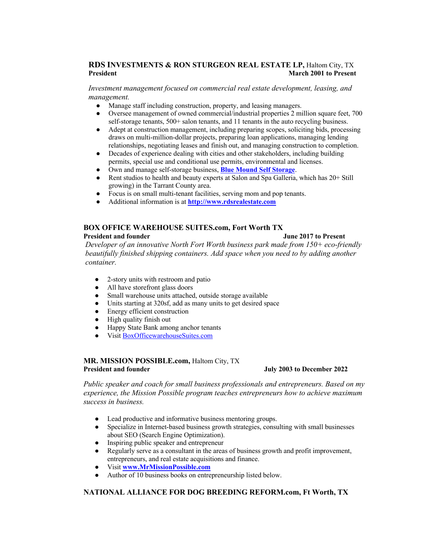# **RDS INVESTMENTS & RON STURGEON REAL ESTATE LP,** Haltom City, TX **President March 2001 to Present in the U.S. Constant of the March 2001 to Present in the U.S. Constant in the March 2001 to Present in the U.S. Constant in the U.S. Constant in the March 2001 to Present in the U.S. Consta**

*Investment management focused on commercial real estate development, leasing, and management.*

- Manage staff including construction, property, and leasing managers.
- Oversee management of owned commercial/industrial properties 2 million square feet, 700 self-storage tenants, 500+ salon tenants, and 11 tenants in the auto recycling business.
- Adept at construction management, including preparing scopes, soliciting bids, processing draws on multi-million-dollar projects, preparing loan applications, managing lending relationships, negotiating leases and finish out, and managing construction to completion.
- Decades of experience dealing with cities and other stakeholders, including building permits, special use and conditional use permits, environmental and licenses.
- Own and manage self-storage business, **Blue Mound Self Storage**.
- Rent studios to health and beauty experts at Salon and Spa Galleria, which has 20+ Still growing) in the Tarrant County area.
- Focus is on small multi-tenant facilities, serving mom and pop tenants.
- Additional information is at **http://www.rdsrealestate.com**

#### **BOX OFFICE WAREHOUSE SUITES.com, Fort Worth TX President and founder Server All Server Server All Server All Server All Server All Server All Server All Server All Server All Server All Server All Server All Server All Server All Server All Server All Server All Serve**

## *Developer of an innovative North Fort Worth business park made from 150+ eco-friendly beautifully finished shipping containers. Add space when you need to by adding another container.*

- 2-story units with restroom and patio
- All have storefront glass doors
- Small warehouse units attached, outside storage available
- Units starting at 320sf, add as many units to get desired space
- Energy efficient construction
- High quality finish out
- Happy State Bank among anchor tenants
- Visit BoxOfficewarehouseSuites.com

#### **MR. MISSION POSSIBLE.com,** Haltom City, TX **President and founder Server All 2003 to December 2022**

*Public speaker and coach for small business professionals and entrepreneurs. Based on my experience, the Mission Possible program teaches entrepreneurs how to achieve maximum success in business.*

- Lead productive and informative business mentoring groups.
- Specialize in Internet-based business growth strategies, consulting with small businesses about SEO (Search Engine Optimization).
- Inspiring public speaker and entrepreneur
- Regularly serve as a consultant in the areas of business growth and profit improvement, entrepreneurs, and real estate acquisitions and finance.
- Visit **www.MrMissionPossible.com**
- Author of 10 business books on entrepreneurship listed below.

## **NATIONAL ALLIANCE FOR DOG BREEDING REFORM.com, Ft Worth, TX**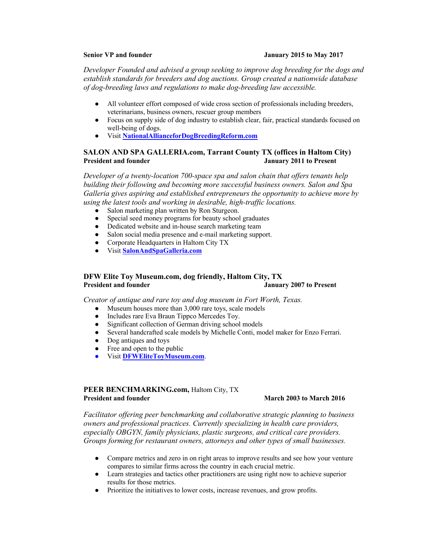#### **Senior VP and founder Senior Senior VP and founder Senior VP and founder Senior VP and founder Senior Senior S**

*Developer Founded and advised a group seeking to improve dog breeding for the dogs and establish standards for breeders and dog auctions. Group created a nationwide database of dog-breeding laws and regulations to make dog-breeding law accessible.*

- All volunteer effort composed of wide cross section of professionals including breeders, veterinarians, business owners, rescuer group members
- Focus on supply side of dog industry to establish clear, fair, practical standards focused on well-being of dogs.
- Visit **NationalAllianceforDogBreedingReform.com**

#### **SALON AND SPA GALLERIA.com, Tarrant County TX (offices in Haltom City) January 2011 to Present**

*Developer of a twenty-location 700-space spa and salon chain that offers tenants help building their following and becoming more successful business owners. Salon and Spa Galleria gives aspiring and established entrepreneurs the opportunity to achieve more by using the latest tools and working in desirable, high-traffic locations.*

- Salon marketing plan written by Ron Sturgeon.
- Special seed money programs for beauty school graduates
- Dedicated website and in-house search marketing team
- Salon social media presence and e-mail marketing support.
- Corporate Headquarters in Haltom City TX
- Visit **SalonAndSpaGalleria.com**

# **DFW Elite Toy Museum.com, dog friendly, Haltom City, TX President and founder January 2007 to Present**

*Creator of antique and rare toy and dog museum in Fort Worth, Texas.*

- Museum houses more than 3,000 rare toys, scale models
- Includes rare Eva Braun Tippco Mercedes Toy.
- Significant collection of German driving school models
- Several handcrafted scale models by Michelle Conti, model maker for Enzo Ferrari.
- Dog antiques and toys
- Free and open to the public
- Visit **DFWEliteToyMuseum.com**.

#### **PEER BENCHMARKING.com,** Haltom City, TX **President and founder March 2003 to March 2016**

*Facilitator offering peer benchmarking and collaborative strategic planning to business owners and professional practices. Currently specializing in health care providers, especially OBGYN, family physicians, plastic surgeons, and critical care providers. Groups forming for restaurant owners, attorneys and other types of small businesses.* 

- Compare metrics and zero in on right areas to improve results and see how your venture compares to similar firms across the country in each crucial metric.
- Learn strategies and tactics other practitioners are using right now to achieve superior results for those metrics.
- Prioritize the initiatives to lower costs, increase revenues, and grow profits.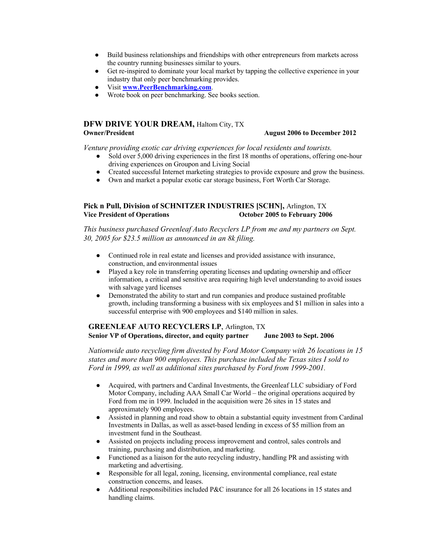- Build business relationships and friendships with other entrepreneurs from markets across the country running businesses similar to yours.
- Get re-inspired to dominate your local market by tapping the collective experience in your industry that only peer benchmarking provides.
- Visit **www.PeerBenchmarking.com**.
- Wrote book on peer benchmarking. See books section.

# **DFW DRIVE YOUR DREAM,** Haltom City, TX

#### **Owner/President August 2006 to December 2012**

*Venture providing exotic car driving experiences for local residents and tourists.*

- Sold over 5,000 driving experiences in the first 18 months of operations, offering one-hour driving experiences on Groupon and Living Social
- Created successful Internet marketing strategies to provide exposure and grow the business.
- Own and market a popular exotic car storage business, Fort Worth Car Storage.

#### **Pick n Pull, Division of SCHNITZER INDUSTRIES [SCHN],** Arlington, TX **Vice President of Operations October 2005 to February 2006**

*This business purchased Greenleaf Auto Recyclers LP from me and my partners on Sept. 30, 2005 for \$23.5 million as announced in an 8k filing.*

- Continued role in real estate and licenses and provided assistance with insurance, construction, and environmental issues
- Played a key role in transferring operating licenses and updating ownership and officer information, a critical and sensitive area requiring high level understanding to avoid issues with salvage yard licenses
- Demonstrated the ability to start and run companies and produce sustained profitable growth, including transforming a business with six employees and \$1 million in sales into a successful enterprise with 900 employees and \$140 million in sales.

#### **GREENLEAF AUTO RECYCLERS LP**, Arlington, TX **Senior VP of Operations, director, and equity partner June 2003 to Sept. 2006**

*Nationwide auto recycling firm divested by Ford Motor Company with 26 locations in 15 states and more than 900 employees. This purchase included the Texas sites I sold to Ford in 1999, as well as additional sites purchased by Ford from 1999-2001.* 

- Acquired, with partners and Cardinal Investments, the Greenleaf LLC subsidiary of Ford Motor Company, including AAA Small Car World – the original operations acquired by Ford from me in 1999. Included in the acquisition were 26 sites in 15 states and approximately 900 employees.
- Assisted in planning and road show to obtain a substantial equity investment from Cardinal Investments in Dallas, as well as asset-based lending in excess of \$5 million from an investment fund in the Southeast.
- Assisted on projects including process improvement and control, sales controls and training, purchasing and distribution, and marketing.
- Functioned as a liaison for the auto recycling industry, handling PR and assisting with marketing and advertising.
- Responsible for all legal, zoning, licensing, environmental compliance, real estate construction concerns, and leases.
- Additional responsibilities included  $P\&C$  insurance for all 26 locations in 15 states and handling claims.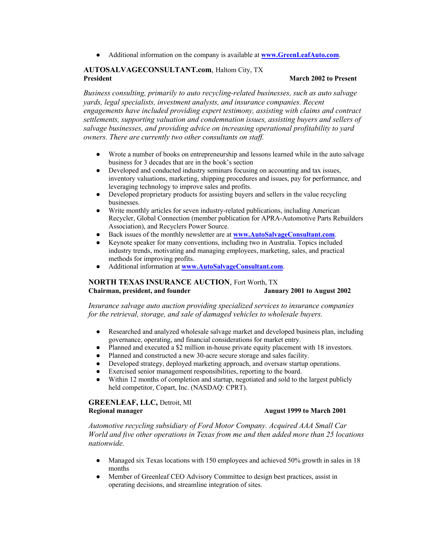● Additional information on the company is available at **www.GreenLeafAuto.com**.

#### **AUTOSALVAGECONSULTANT.com**, Haltom City, TX **President March 2002 to Present**

*Business consulting, primarily to auto recycling-related businesses, such as auto salvage yards, legal specialists, investment analysts, and insurance companies. Recent engagements have included providing expert testimony, assisting with claims and contract settlements, supporting valuation and condemnation issues, assisting buyers and sellers of salvage businesses, and providing advice on increasing operational profitability to yard owners. There are currently two other consultants on staff.*

- Wrote a number of books on entrepreneurship and lessons learned while in the auto salvage business for 3 decades that are in the book's section
- Developed and conducted industry seminars focusing on accounting and tax issues, inventory valuations, marketing, shipping procedures and issues, pay for performance, and leveraging technology to improve sales and profits.
- Developed proprietary products for assisting buyers and sellers in the value recycling businesses.
- Write monthly articles for seven industry-related publications, including American Recycler, Global Connection (member publication for APRA-Automotive Parts Rebuilders Association), and Recyclers Power Source.
- Back issues of the monthly newsletter are at **www.AutoSalvageConsultant.com**.
- Keynote speaker for many conventions, including two in Australia. Topics included industry trends, motivating and managing employees, marketing, sales, and practical methods for improving profits.
- Additional information at **www.AutoSalvageConsultant.com**.

## **NORTH TEXAS INSURANCE AUCTION**, Fort Worth, TX **Chairman, president, and founder January 2001 to August 2002**

*Insurance salvage auto auction providing specialized services to insurance companies for the retrieval, storage, and sale of damaged vehicles to wholesale buyers.*

- Researched and analyzed wholesale salvage market and developed business plan, including governance, operating, and financial considerations for market entry.
- Planned and executed a \$2 million in-house private equity placement with 18 investors.
- Planned and constructed a new 30-acre secure storage and sales facility.
- Developed strategy, deployed marketing approach, and oversaw startup operations.
- Exercised senior management responsibilities, reporting to the board.
- Within 12 months of completion and startup, negotiated and sold to the largest publicly held competitor, Copart, Inc. (NASDAQ: CPRT).

**GREENLEAF, LLC,** Detroit, MI **Regional manager August 1999 to March 2001**

*Automotive recycling subsidiary of Ford Motor Company. Acquired AAA Small Car World and five other operations in Texas from me and then added more than 25 locations nationwide.* 

- Managed six Texas locations with 150 employees and achieved 50% growth in sales in 18 months
- Member of Greenleaf CEO Advisory Committee to design best practices, assist in operating decisions, and streamline integration of sites.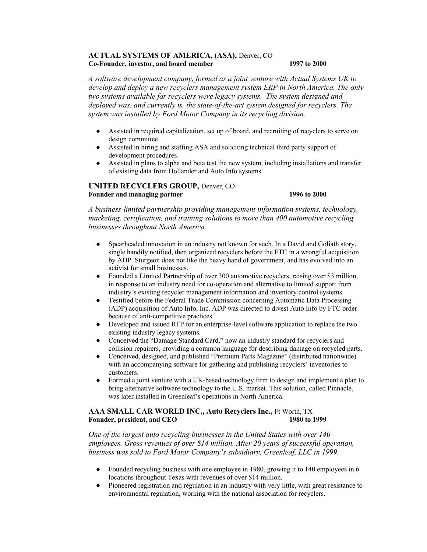#### **ACTUAL SYSTEMS OF AMERICA, (ASA),** Denver, CO **Co-Founder, investor, and board member 1997 to 2000**

*A software development company, formed as a joint venture with Actual Systems UK to develop and deploy a new recyclers management system ERP in North America. The only two systems available for recyclers were legacy systems. The system designed and deployed was, and currently is, the state-of-the-art system designed for recyclers. The system was installed by Ford Motor Company in its recycling division.* 

- Assisted in required capitalization, set up of board, and recruiting of recyclers to serve on design committee.
- Assisted in hiring and staffing ASA and soliciting technical third party support of development procedures.
- Assisted in plans to alpha and beta test the new system, including installations and transfer of existing data from Hollander and Auto Info systems.

#### **UNITED RECYCLERS GROUP,** Denver, CO **Founder and managing partner 1996 to 2000**

*A business-limited partnership providing management information systems, technology, marketing, certification, and training solutions to more than 400 automotive recycling businesses throughout North America.*

- Spearheaded innovation in an industry not known for such. In a David and Goliath story, single handily notified, then organized recyclers before the FTC in a wrongful acquisition by ADP. Sturgeon does not like the heavy hand of government, and has evolved into an activist for small businesses.
- Founded a Limited Partnership of over 300 automotive recyclers, raising over \$3 million, in response to an industry need for co-operation and alternative to limited support from industry's existing recycler management information and inventory control systems.
- Testified before the Federal Trade Commission concerning Automatic Data Processing (ADP) acquisition of Auto Info, Inc. ADP was directed to divest Auto Info by FTC order because of anti-competitive practices.
- Developed and issued RFP for an enterprise-level software application to replace the two existing industry legacy systems.
- Conceived the "Damage Standard Card," now an industry standard for recyclers and collision repairers, providing a common language for describing damage on recycled parts.
- Conceived, designed, and published "Premium Parts Magazine" (distributed nationwide) with an accompanying software for gathering and publishing recyclers' inventories to customers.
- Formed a joint venture with a UK-based technology firm to design and implement a plan to bring alternative software technology to the U.S. market. This solution, called Pinnacle, was later installed in Greenleaf's operations in North America.

#### **AAA SMALL CAR WORLD INC., Auto Recyclers Inc.,** Ft Worth, TX **Founder, president, and CEO 1980 to 1999**

*One of the largest auto recycling businesses in the United States with over 140 employees. Gross revenues of over \$14 million. After 20 years of successful operation, business was sold to Ford Motor Company's subsidiary, Greenleaf, LLC in 1999.* 

- Founded recycling business with one employee in 1980, growing it to 140 employees in 6 locations throughout Texas with revenues of over \$14 million.
- Pioneered registration and regulation in an industry with very little, with great resistance to environmental regulation, working with the national association for recyclers.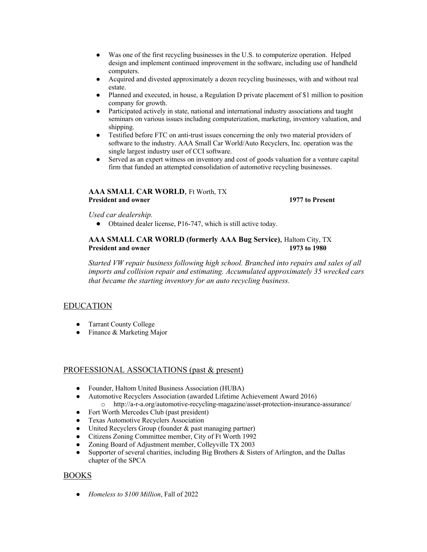- Was one of the first recycling businesses in the U.S. to computerize operation. Helped design and implement continued improvement in the software, including use of handheld computers.
- Acquired and divested approximately a dozen recycling businesses, with and without real estate.
- Planned and executed, in house, a Regulation D private placement of \$1 million to position company for growth.
- Participated actively in state, national and international industry associations and taught seminars on various issues including computerization, marketing, inventory valuation, and shipping.
- Testified before FTC on anti-trust issues concerning the only two material providers of software to the industry. AAA Small Car World/Auto Recyclers, Inc. operation was the single largest industry user of CCI software.
- Served as an expert witness on inventory and cost of goods valuation for a venture capital firm that funded an attempted consolidation of automotive recycling businesses.

# **AAA SMALL CAR WORLD**, Ft Worth, TX **President and owner 1977 to Present**

*Used car dealership.*

● Obtained dealer license, P16-747, which is still active today.

# **AAA SMALL CAR WORLD (formerly AAA Bug Service)**, Haltom City, TX **President and owner 1973 to 1980**

*Started VW repair business following high school. Branched into repairs and sales of all imports and collision repair and estimating. Accumulated approximately 35 wrecked cars that became the starting inventory for an auto recycling business.* 

# EDUCATION

- Tarrant County College
- Finance & Marketing Major

## PROFESSIONAL ASSOCIATIONS (past & present)

- Founder, Haltom United Business Association (HUBA)
- Automotive Recyclers Association (awarded Lifetime Achievement Award 2016) o http://a-r-a.org/automotive-recycling-magazine/asset-protection-insurance-assurance/
- Fort Worth Mercedes Club (past president)
- Texas Automotive Recyclers Association
- United Recyclers Group (founder & past managing partner)
- Citizens Zoning Committee member, City of Ft Worth 1992
- Zoning Board of Adjustment member, Colleyville TX 2003
- Supporter of several charities, including Big Brothers & Sisters of Arlington, and the Dallas chapter of the SPCA

# BOOKS

● *Homeless to \$100 Million*, Fall of 2022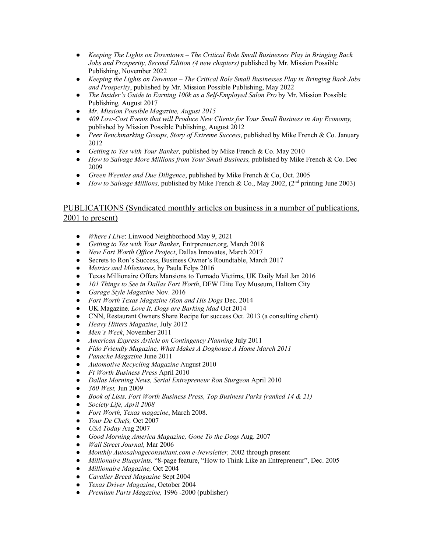- *Keeping The Lights on Downtown – The Critical Role Small Businesses Play in Bringing Back Jobs and Prosperity, Second Edition (4 new chapters)* published by Mr. Mission Possible Publishing, November 2022
- *Keeping the Lights on Downton – The Critical Role Small Businesses Play in Bringing Back Jobs and Prosperity*, published by Mr. Mission Possible Publishing, May 2022
- *The Insider's Guide to Earning 100k as a Self-Employed Salon Pro* by Mr. Mission Possible Publishing*,* August 2017
- *Mr. Mission Possible Magazine, August 2015*
- *409 Low-Cost Events that will Produce New Clients for Your Small Business in Any Economy,*  published by Mission Possible Publishing, August 2012
- *Peer Benchmarking Groups, Story of Extreme Success*, published by Mike French & Co. January 2012
- *Getting to Yes with Your Banker,* published by Mike French & Co. May 2010
- *How to Salvage More Millions from Your Small Business,* published by Mike French & Co. Dec 2009
- *Green Weenies and Due Diligence*, published by Mike French & Co, Oct. 2005
- *How to Salvage Millions,* published by Mike French & Co., May 2002, (2<sup>nd</sup> printing June 2003)

# PUBLICATIONS (Syndicated monthly articles on business in a number of publications, 2001 to present)

- *Where I Live*: Linwood Neighborhood May 9, 2021
- *Getting to Yes with Your Banker,* Entrprenuer.org*,* March 2018
- *New Fort Worth Office Project*, Dallas Innovates, March 2017
- Secrets to Ron's Success, Business Owner's Roundtable, March 2017
- *Metrics and Milestones*, by Paula Felps 2016
- Texas Millionaire Offers Mansions to Tornado Victims, UK Daily Mail Jan 2016
- *101 Things to See in Dallas Fort Worth*, DFW Elite Toy Museum, Haltom City
- *Garage Style Magazine* Nov. 2016
- *Fort Worth Texas Magazine (Ron and His Dogs* Dec. 2014
- UK Magazine*, Love It, Dogs are Barking Mad* Oct 2014
- CNN, Restaurant Owners Share Recipe for success Oct. 2013 (a consulting client)
- *Heavy Hitters Magazine*, July 2012
- *Men's Week*, November 2011
- *American Express Article on Contingency Planning* July 2011
- *Fido Friendly Magazine, What Makes A Doghouse A Home March 2011*
- *Panache Magazine* June 2011
- *Automotive Recycling Magazine* August 2010
- *Ft Worth Business Press* April 2010
- *Dallas Morning News, Serial Entrepreneur Ron Sturgeon* April 2010
- *360 West,* Jun 2009
- *Book of Lists, Fort Worth Business Press, Top Business Parks (ranked 14 & 21)*
- *Society Life, April 2008*
- *Fort Worth, Texas magazine*, March 2008.
- *Tour De Chefs,* Oct 2007
- *USA Today* Aug 2007
- *Good Morning America Magazine, Gone To the Dogs* Aug. 2007
- *Wall Street Journal,* Mar 2006
- *Monthly Autosalvageconsultant.com e-Newsletter,* 2002 through present
- *Millionaire Blueprints,* "8-page feature, "How to Think Like an Entrepreneur", Dec. 2005
- *Millionaire Magazine,* Oct 2004
- *Cavalier Breed Magazine* Sept 2004
- *Texas Driver Magazine*, October 2004
- *Premium Parts Magazine,* 1996 -2000 (publisher)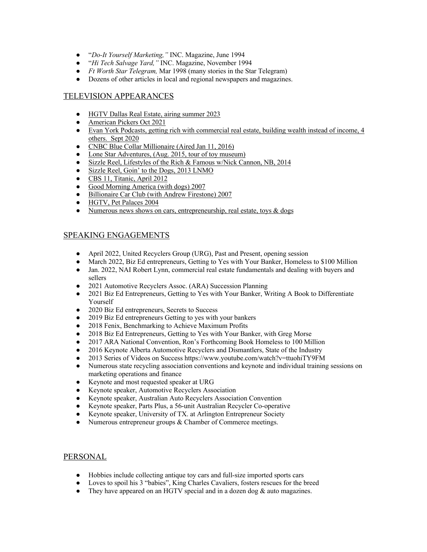- "*Do-It Yourself Marketing,"* INC. Magazine, June 1994
- "*Hi Tech Salvage Yard,"* INC. Magazine, November 1994
- *Ft Worth Star Telegram,* Mar 1998 (many stories in the Star Telegram)
- Dozens of other articles in local and regional newspapers and magazines.

# TELEVISION APPEARANCES

- HGTV Dallas Real Estate, airing summer 2023
- American Pickers Oct 2021
- Evan York Podcasts, getting rich with commercial real estate, building wealth instead of income, 4 others. Sept 2020
- CNBC Blue Collar Millionaire (Aired Jan 11, 2016)
- Lone Star Adventures, (Aug. 2015, tour of toy museum)
- Sizzle Reel, Lifestyles of the Rich & Famous w/Nick Cannon, NB, 2014
- Sizzle Reel, Goin' to the Dogs, 2013 LNMO
- CBS 11, Titanic, April 2012
- Good Morning America (with dogs) 2007
- Billionaire Car Club (with Andrew Firestone) 2007
- HGTV, Pet Palaces 2004
- Numerous news shows on cars, entrepreneurship, real estate, toys  $\&$  dogs

# SPEAKING ENGAGEMENTS

- April 2022, United Recyclers Group (URG), Past and Present, opening session
- March 2022, Biz Ed entrepreneurs, Getting to Yes with Your Banker, Homeless to \$100 Million
- Jan. 2022, NAI Robert Lynn, commercial real estate fundamentals and dealing with buyers and sellers
- 2021 Automotive Recyclers Assoc. (ARA) Succession Planning
- 2021 Biz Ed Entrepreneurs, Getting to Yes with Your Banker, Writing A Book to Differentiate Yourself
- 2020 Biz Ed entrepreneurs, Secrets to Success
- 2019 Biz Ed entrepreneurs Getting to yes with your bankers
- 2018 Fenix, Benchmarking to Achieve Maximum Profits
- 2018 Biz Ed Entrepreneurs, Getting to Yes with Your Banker, with Greg Morse
- 2017 ARA National Convention, Ron's Forthcoming Book Homeless to 100 Million
- 2016 Keynote Alberta Automotive Recyclers and Dismantlers, State of the Industry
- 2013 Series of Videos on Success https://www.youtube.com/watch?v=ttuohiTY9FM
- Numerous state recycling association conventions and keynote and individual training sessions on marketing operations and finance
- Keynote and most requested speaker at URG
- Keynote speaker, Automotive Recyclers Association
- Keynote speaker, Australian Auto Recyclers Association Convention
- Keynote speaker, Parts Plus, a 56-unit Australian Recycler Co-operative
- Keynote speaker, University of TX. at Arlington Entrepreneur Society
- Numerous entrepreneur groups & Chamber of Commerce meetings.

## PERSONAL

- Hobbies include collecting antique toy cars and full-size imported sports cars
- Loves to spoil his 3 "babies", King Charles Cavaliers, fosters rescues for the breed
- They have appeared on an HGTV special and in a dozen dog  $&$  auto magazines.